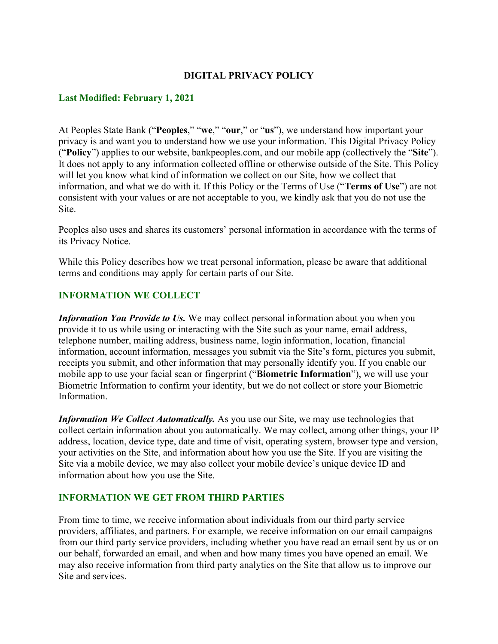### **DIGITAL PRIVACY POLICY**

#### **Last Modified: February 1, 2021**

At Peoples State Bank ("**Peoples**," "**we**," "**our**," or "**us**"), we understand how important your privacy is and want you to understand how we use your information. This Digital Privacy Policy ("**Policy**") applies to our website, bankpeoples.com, and our mobile app (collectively the "**Site**"). It does not apply to any information collected offline or otherwise outside of the Site. This Policy will let you know what kind of information we collect on our Site, how we collect that information, and what we do with it. If this Policy or the Terms of Use ("**Terms of Use**") are not consistent with your values or are not acceptable to you, we kindly ask that you do not use the Site.

Peoples also uses and shares its customers' personal information in accordance with the terms of its Privacy Notice.

While this Policy describes how we treat personal information, please be aware that additional terms and conditions may apply for certain parts of our Site.

### **INFORMATION WE COLLECT**

*Information You Provide to Us.* We may collect personal information about you when you provide it to us while using or interacting with the Site such as your name, email address, telephone number, mailing address, business name, login information, location, financial information, account information, messages you submit via the Site's form, pictures you submit, receipts you submit, and other information that may personally identify you. If you enable our mobile app to use your facial scan or fingerprint ("**Biometric Information**"), we will use your Biometric Information to confirm your identity, but we do not collect or store your Biometric Information.

*Information We Collect Automatically.* As you use our Site, we may use technologies that collect certain information about you automatically. We may collect, among other things, your IP address, location, device type, date and time of visit, operating system, browser type and version, your activities on the Site, and information about how you use the Site. If you are visiting the Site via a mobile device, we may also collect your mobile device's unique device ID and information about how you use the Site.

#### **INFORMATION WE GET FROM THIRD PARTIES**

From time to time, we receive information about individuals from our third party service providers, affiliates, and partners. For example, we receive information on our email campaigns from our third party service providers, including whether you have read an email sent by us or on our behalf, forwarded an email, and when and how many times you have opened an email. We may also receive information from third party analytics on the Site that allow us to improve our Site and services.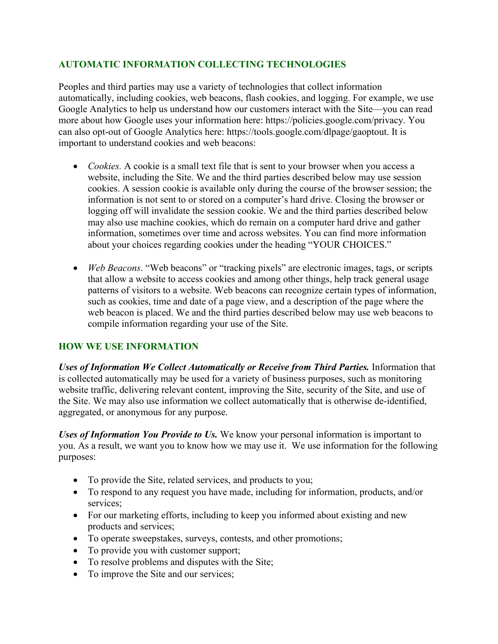# **AUTOMATIC INFORMATION COLLECTING TECHNOLOGIES**

Peoples and third parties may use a variety of technologies that collect information automatically, including cookies, web beacons, flash cookies, and logging. For example, we use Google Analytics to help us understand how our customers interact with the Site—you can read more about how Google uses your information here: https://policies.google.com/privacy. You can also opt-out of Google Analytics here: https://tools.google.com/dlpage/gaoptout. It is important to understand cookies and web beacons:

- *Cookies.* A cookie is a small text file that is sent to your browser when you access a website, including the Site. We and the third parties described below may use session cookies. A session cookie is available only during the course of the browser session; the information is not sent to or stored on a computer's hard drive. Closing the browser or logging off will invalidate the session cookie. We and the third parties described below may also use machine cookies, which do remain on a computer hard drive and gather information, sometimes over time and across websites. You can find more information about your choices regarding cookies under the heading "YOUR CHOICES."
- *Web Beacons*. "Web beacons" or "tracking pixels" are electronic images, tags, or scripts that allow a website to access cookies and among other things, help track general usage patterns of visitors to a website. Web beacons can recognize certain types of information, such as cookies, time and date of a page view, and a description of the page where the web beacon is placed. We and the third parties described below may use web beacons to compile information regarding your use of the Site.

# **HOW WE USE INFORMATION**

*Uses of Information We Collect Automatically or Receive from Third Parties.* Information that is collected automatically may be used for a variety of business purposes, such as monitoring website traffic, delivering relevant content, improving the Site, security of the Site, and use of the Site. We may also use information we collect automatically that is otherwise de-identified, aggregated, or anonymous for any purpose.

*Uses of Information You Provide to Us.* We know your personal information is important to you. As a result, we want you to know how we may use it. We use information for the following purposes:

- To provide the Site, related services, and products to you;
- To respond to any request you have made, including for information, products, and/or services;
- For our marketing efforts, including to keep you informed about existing and new products and services;
- To operate sweepstakes, surveys, contests, and other promotions;
- To provide you with customer support;
- To resolve problems and disputes with the Site;
- To improve the Site and our services;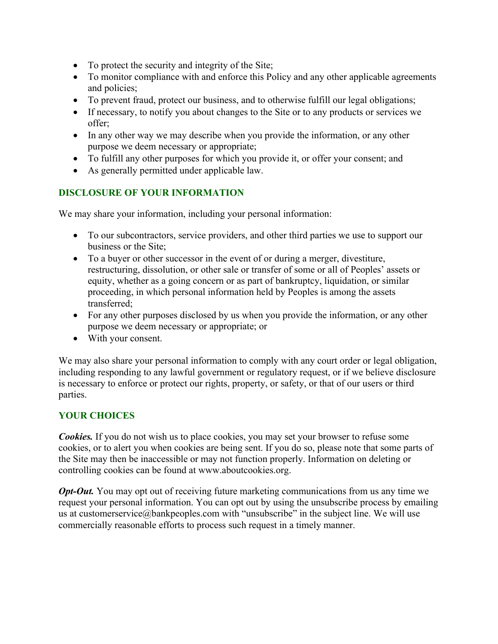- To protect the security and integrity of the Site;
- To monitor compliance with and enforce this Policy and any other applicable agreements and policies;
- To prevent fraud, protect our business, and to otherwise fulfill our legal obligations;
- If necessary, to notify you about changes to the Site or to any products or services we offer;
- In any other way we may describe when you provide the information, or any other purpose we deem necessary or appropriate;
- To fulfill any other purposes for which you provide it, or offer your consent; and
- As generally permitted under applicable law.

# **DISCLOSURE OF YOUR INFORMATION**

We may share your information, including your personal information:

- To our subcontractors, service providers, and other third parties we use to support our business or the Site;
- To a buyer or other successor in the event of or during a merger, divestiture, restructuring, dissolution, or other sale or transfer of some or all of Peoples' assets or equity, whether as a going concern or as part of bankruptcy, liquidation, or similar proceeding, in which personal information held by Peoples is among the assets transferred;
- For any other purposes disclosed by us when you provide the information, or any other purpose we deem necessary or appropriate; or
- With your consent.

We may also share your personal information to comply with any court order or legal obligation, including responding to any lawful government or regulatory request, or if we believe disclosure is necessary to enforce or protect our rights, property, or safety, or that of our users or third parties.

# **YOUR CHOICES**

*Cookies.* If you do not wish us to place cookies, you may set your browser to refuse some cookies, or to alert you when cookies are being sent. If you do so, please note that some parts of the Site may then be inaccessible or may not function properly. Information on deleting or controlling cookies can be found at www.aboutcookies.org.

*Opt-Out.* You may opt out of receiving future marketing communications from us any time we request your personal information. You can opt out by using the unsubscribe process by emailing us at customerservice@bankpeoples.com with "unsubscribe" in the subject line. We will use commercially reasonable efforts to process such request in a timely manner.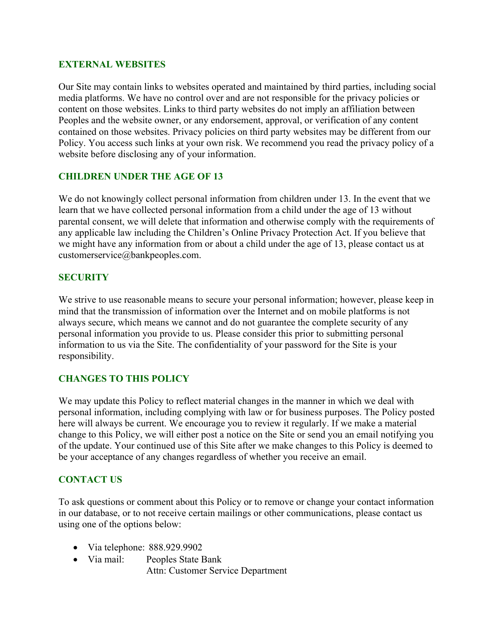### **EXTERNAL WEBSITES**

Our Site may contain links to websites operated and maintained by third parties, including social media platforms. We have no control over and are not responsible for the privacy policies or content on those websites. Links to third party websites do not imply an affiliation between Peoples and the website owner, or any endorsement, approval, or verification of any content contained on those websites. Privacy policies on third party websites may be different from our Policy. You access such links at your own risk. We recommend you read the privacy policy of a website before disclosing any of your information.

# **CHILDREN UNDER THE AGE OF 13**

We do not knowingly collect personal information from children under 13. In the event that we learn that we have collected personal information from a child under the age of 13 without parental consent, we will delete that information and otherwise comply with the requirements of any applicable law including the Children's Online Privacy Protection Act. If you believe that we might have any information from or about a child under the age of 13, please contact us at customerservice@bankpeoples.com.

### **SECURITY**

We strive to use reasonable means to secure your personal information; however, please keep in mind that the transmission of information over the Internet and on mobile platforms is not always secure, which means we cannot and do not guarantee the complete security of any personal information you provide to us. Please consider this prior to submitting personal information to us via the Site. The confidentiality of your password for the Site is your responsibility.

# **CHANGES TO THIS POLICY**

We may update this Policy to reflect material changes in the manner in which we deal with personal information, including complying with law or for business purposes. The Policy posted here will always be current. We encourage you to review it regularly. If we make a material change to this Policy, we will either post a notice on the Site or send you an email notifying you of the update. Your continued use of this Site after we make changes to this Policy is deemed to be your acceptance of any changes regardless of whether you receive an email.

# **CONTACT US**

To ask questions or comment about this Policy or to remove or change your contact information in our database, or to not receive certain mailings or other communications, please contact us using one of the options below:

- Via telephone: 888.929.9902
- Via mail: Peoples State Bank Attn: Customer Service Department